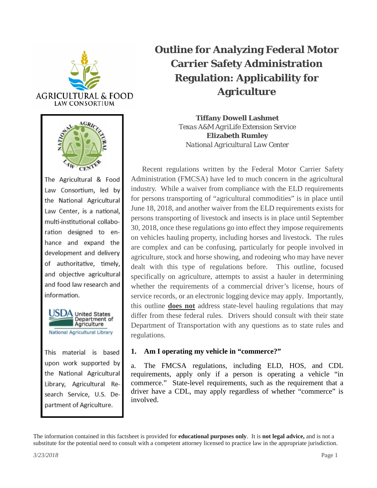



The Agricultural & Food Law Consortium, led by the National Agricultural Law Center, is a national, multi-institutional collaboration designed to enhance and expand the development and delivery of authoritative, timely, and objective agricultural and food law research and information.



This material is based upon work supported by the National Agricultural Library, Agricultural Research Service, U.S. Department of Agriculture.

# **Outline for Analyzing Federal Motor Carrier Safety Administration Regulation: Applicability for Agriculture**

**Tiffany Dowell Lashmet** *Texas A&M AgriLife Extension Service* **Elizabeth Rumley** *National Agricultural Law Center*

Recent regulations written by the Federal Motor Carrier Safety Administration (FMCSA) have led to much concern in the agricultural industry. While a waiver from compliance with the ELD requirements for persons transporting of "agricultural commodities" is in place until June 18, 2018, and another waiver from the ELD requirements exists for persons transporting of livestock and insects is in place until September 30, 2018, once these regulations go into effect they impose requirements on vehicles hauling property, including horses and livestock. The rules are complex and can be confusing, particularly for people involved in agriculture, stock and horse showing, and rodeoing who may have never dealt with this type of regulations before. This outline, focused specifically on agriculture, attempts to assist a hauler in determining whether the requirements of a commercial driver's license, hours of service records, or an electronic logging device may apply. Importantly, this outline **does not** address state-level hauling regulations that may differ from these federal rules. Drivers should consult with their state Department of Transportation with any questions as to state rules and regulations.

## **1. Am I operating my vehicle in "commerce?"**

a. The FMCSA regulations, including ELD, HOS, and CDL requirements, apply only if a person is operating a vehicle "in commerce." State-level requirements, such as the requirement that a driver have a CDL, may apply regardless of whether "commerce" is involved.

The information contained in this factsheet is provided for **educational purposes only**. It is **not legal advice,** and is not a substitute for the potential need to consult with a competent attorney licensed to practice law in the appropriate jurisdiction.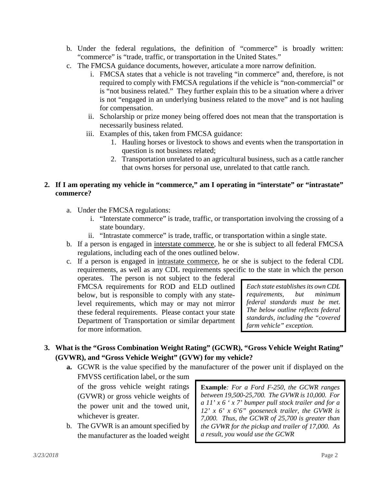- b. Under the federal regulations, the definition of "commerce" is broadly written: "commerce" is "trade, traffic, or transportation in the United States."
- c. The FMCSA guidance documents, however, articulate a more narrow definition.
	- i. FMCSA states that a vehicle is not traveling "in commerce" and, therefore, is not required to comply with FMCSA regulations if the vehicle is "non-commercial" or is "not business related." They further explain this to be a situation where a driver is not "engaged in an underlying business related to the move" and is not hauling for compensation.
	- ii. Scholarship or prize money being offered does not mean that the transportation is necessarily business related.
	- iii. Examples of this, taken from FMCSA guidance:
		- 1. Hauling horses or livestock to shows and events when the transportation in question is not business related;
		- 2. Transportation unrelated to an agricultural business, such as a cattle rancher that owns horses for personal use, unrelated to that cattle ranch.

## **2. If I am operating my vehicle in "commerce," am I operating in "interstate" or "intrastate" commerce?**

- a. Under the FMCSA regulations:
	- i. "Interstate commerce" is trade, traffic, or transportation involving the crossing of a state boundary.
	- ii. "Intrastate commerce" is trade, traffic, or transportation within a single state.
- b. If a person is engaged in interstate commerce, he or she is subject to all federal FMCSA regulations, including each of the ones outlined below.
- c. If a person is engaged in intrastate commerce, he or she is subject to the federal CDL requirements, as well as any CDL requirements specific to the state in which the person

operates. The person is not subject to the federal FMCSA requirements for ROD and ELD outlined below, but is responsible to comply with any statelevel requirements, which may or may not mirror these federal requirements. Please contact your state Department of Transportation or similar department for more information.

*Each state establishes its own CDL requirements, but minimum federal standards must be met. The below outline reflects federal standards, including the "covered farm vehicle" exception.* 

## **3. What is the "Gross Combination Weight Rating" (GCWR), "Gross Vehicle Weight Rating" (GVWR), and "Gross Vehicle Weight" (GVW) for my vehicle?**

**a.** GCWR is the value specified by the manufacturer of the power unit if displayed on the

FMVSS certification label, or the sum of the gross vehicle weight ratings (GVWR) or gross vehicle weights of the power unit and the towed unit, whichever is greater.

b. The GVWR is an amount specified by the manufacturer as the loaded weight **Example***: For a Ford F-250, the GCWR ranges between 19,500-25,700. The GVWR is 10,000. For a 11' x 6 ' x 7' bumper pull stock trailer and for a 12' x 6' x 6'6" gooseneck trailer, the GVWR is 7,000. Thus, the GCWR of 25,700 is greater than the GVWR for the pickup and trailer of 17,000. As a result, you would use the GCWR*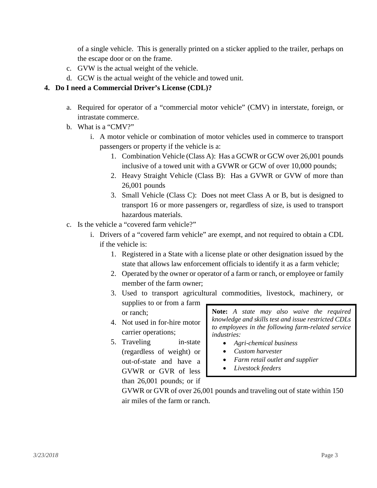of a single vehicle. This is generally printed on a sticker applied to the trailer, perhaps on the escape door or on the frame.

- c. GVW is the actual weight of the vehicle.
- d. GCW is the actual weight of the vehicle and towed unit.

## **4. Do I need a Commercial Driver's License (CDL)?**

- a. Required for operator of a "commercial motor vehicle" (CMV) in interstate, foreign, or intrastate commerce.
- b. What is a "CMV?"
	- i. A motor vehicle or combination of motor vehicles used in commerce to transport passengers or property if the vehicle is a:
		- 1. Combination Vehicle (Class A): Has a GCWR or GCW over 26,001 pounds inclusive of a towed unit with a GVWR or GCW of over 10,000 pounds;
		- 2. Heavy Straight Vehicle (Class B): Has a GVWR or GVW of more than 26,001 pounds
		- 3. Small Vehicle (Class C): Does not meet Class A or B, but is designed to transport 16 or more passengers or, regardless of size, is used to transport hazardous materials.
- c. Is the vehicle a "covered farm vehicle?"
	- i. Drivers of a "covered farm vehicle" are exempt, and not required to obtain a CDL if the vehicle is:
		- 1. Registered in a State with a license plate or other designation issued by the state that allows law enforcement officials to identify it as a farm vehicle;
		- 2. Operated by the owner or operator of a farm or ranch, or employee or family member of the farm owner;
		- 3. Used to transport agricultural commodities, livestock, machinery, or supplies to or from a farm or ranch;
		- 4. Not used in for-hire motor carrier operations;
		- 5. Traveling in-state (regardless of weight) or out-of-state and have a GVWR or GVR of less than 26,001 pounds; or if

**Note:** *A state may also waive the required knowledge and skills test and issue restricted CDLs to employees in the following farm-related service industries:*

- *Agri-chemical business*
- *Custom harvester*
- *Farm retail outlet and supplier*
- *Livestock feeders*

GVWR or GVR of over 26,001 pounds and traveling out of state within 150 air miles of the farm or ranch.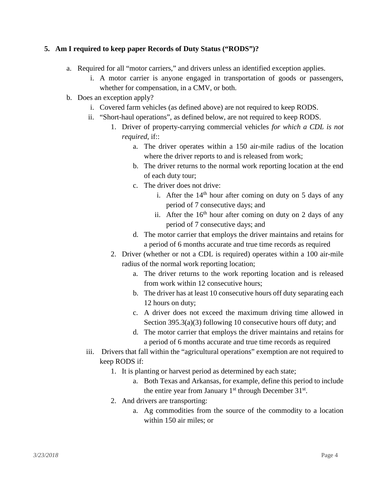#### **5. Am I required to keep paper Records of Duty Status ("RODS")?**

- a. Required for all "motor carriers," and drivers unless an identified exception applies.
	- i. A motor carrier is anyone engaged in transportation of goods or passengers, whether for compensation, in a CMV, or both.
- b. Does an exception apply?
	- i. Covered farm vehicles (as defined above) are not required to keep RODS.
	- ii. "Short-haul operations", as defined below, are not required to keep RODS.
		- 1. Driver of property-carrying commercial vehicles *for which a CDL is not required*, if::
			- a. The driver operates within a 150 air-mile radius of the location where the driver reports to and is released from work;
			- b. The driver returns to the normal work reporting location at the end of each duty tour;
			- c. The driver does not drive:
				- i. After the  $14<sup>th</sup>$  hour after coming on duty on 5 days of any period of 7 consecutive days; and
				- ii. After the  $16<sup>th</sup>$  hour after coming on duty on 2 days of any period of 7 consecutive days; and
			- d. The motor carrier that employs the driver maintains and retains for a period of 6 months accurate and true time records as required
		- 2. Driver (whether or not a CDL is required) operates within a 100 air-mile radius of the normal work reporting location;
			- a. The driver returns to the work reporting location and is released from work within 12 consecutive hours;
			- b. The driver has at least 10 consecutive hours off duty separating each 12 hours on duty;
			- c. A driver does not exceed the maximum driving time allowed in Section 395.3(a)(3) following 10 consecutive hours off duty; and
			- d. The motor carrier that employs the driver maintains and retains for a period of 6 months accurate and true time records as required
	- iii. Drivers that fall within the "agricultural operations" exemption are not required to keep RODS if:
		- 1. It is planting or harvest period as determined by each state;
			- a. Both Texas and Arkansas, for example, define this period to include the entire year from January  $1<sup>st</sup>$  through December 31 $<sup>st</sup>$ .</sup>
		- 2. And drivers are transporting:
			- a. Ag commodities from the source of the commodity to a location within 150 air miles; or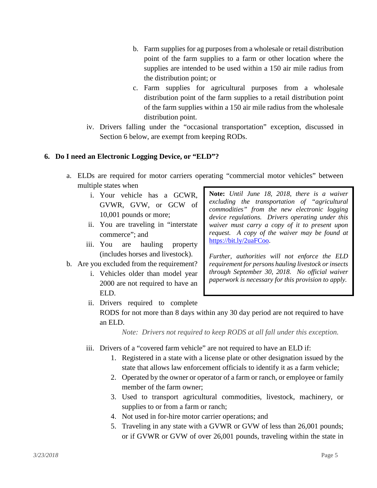- b. Farm supplies for ag purposes from a wholesale or retail distribution point of the farm supplies to a farm or other location where the supplies are intended to be used within a 150 air mile radius from the distribution point; or
- c. Farm supplies for agricultural purposes from a wholesale distribution point of the farm supplies to a retail distribution point of the farm supplies within a 150 air mile radius from the wholesale distribution point.
- iv. Drivers falling under the "occasional transportation" exception, discussed in Section 6 below, are exempt from keeping RODs.

#### **6. Do I need an Electronic Logging Device, or "ELD"?**

- a. ELDs are required for motor carriers operating "commercial motor vehicles" between multiple states when
	- i. Your vehicle has a GCWR, GVWR, GVW, or GCW of 10,001 pounds or more;
	- ii. You are traveling in "interstate commerce"; and
	- iii. You are hauling property (includes horses and livestock).
- b. Are you excluded from the requirement?
	- i. Vehicles older than model year 2000 are not required to have an ELD.
- **Note:** *Until June 18, 2018, there is a waiver excluding the transportation of "agricultural commodities" from the new electronic logging device regulations. Drivers operating under this waiver must carry a copy of it to present upon request. A copy of the waiver may be found at* [https://bit.ly/2uaFCoo.](https://bit.ly/2uaFCoo)

*Further, authorities will not enforce the ELD requirement for persons hauling livestock or insects through September 30, 2018. No official waiver paperwork is necessary for this provision to apply.*

ii. Drivers required to complete RODS for not more than 8 days within any 30 day period are not required to have an ELD.

*Note: Drivers not required to keep RODS at all fall under this exception.*

- iii. Drivers of a "covered farm vehicle" are not required to have an ELD if:
	- 1. Registered in a state with a license plate or other designation issued by the state that allows law enforcement officials to identify it as a farm vehicle;
	- 2. Operated by the owner or operator of a farm or ranch, or employee or family member of the farm owner;
	- 3. Used to transport agricultural commodities, livestock, machinery, or supplies to or from a farm or ranch;
	- 4. Not used in for-hire motor carrier operations; and
	- 5. Traveling in any state with a GVWR or GVW of less than 26,001 pounds; or if GVWR or GVW of over 26,001 pounds, traveling within the state in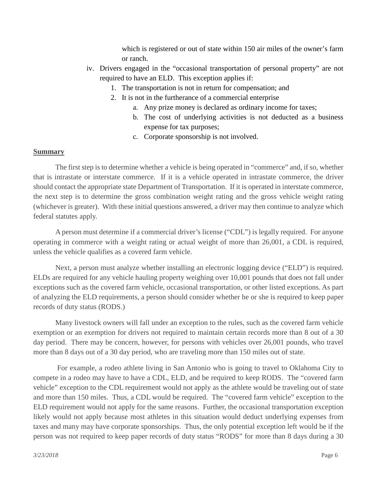which is registered or out of state within 150 air miles of the owner's farm or ranch.

- iv. Drivers engaged in the "occasional transportation of personal property" are not required to have an ELD. This exception applies if:
	- 1. The transportation is not in return for compensation; and
	- 2. It is not in the furtherance of a commercial enterprise
		- a. Any prize money is declared as ordinary income for taxes;
		- b. The cost of underlying activities is not deducted as a business expense for tax purposes;
		- c. Corporate sponsorship is not involved.

#### **Summary**

The first step is to determine whether a vehicle is being operated in "commerce" and, if so, whether that is intrastate or interstate commerce. If it is a vehicle operated in intrastate commerce, the driver should contact the appropriate state Department of Transportation. If it is operated in interstate commerce, the next step is to determine the gross combination weight rating and the gross vehicle weight rating (whichever is greater). With these initial questions answered, a driver may then continue to analyze which federal statutes apply.

A person must determine if a commercial driver's license ("CDL") is legally required. For anyone operating in commerce with a weight rating or actual weight of more than 26,001, a CDL is required, unless the vehicle qualifies as a covered farm vehicle.

Next, a person must analyze whether installing an electronic logging device ("ELD") is required. ELDs are required for any vehicle hauling property weighing over 10,001 pounds that does not fall under exceptions such as the covered farm vehicle, occasional transportation, or other listed exceptions. As part of analyzing the ELD requirements, a person should consider whether he or she is required to keep paper records of duty status (RODS.)

Many livestock owners will fall under an exception to the rules, such as the covered farm vehicle exemption or an exemption for drivers not required to maintain certain records more than 8 out of a 30 day period. There may be concern, however, for persons with vehicles over 26,001 pounds, who travel more than 8 days out of a 30 day period, who are traveling more than 150 miles out of state.

For example, a rodeo athlete living in San Antonio who is going to travel to Oklahoma City to compete in a rodeo may have to have a CDL, ELD, and be required to keep RODS. The "covered farm vehicle" exception to the CDL requirement would not apply as the athlete would be traveling out of state and more than 150 miles. Thus, a CDL would be required. The "covered farm vehicle" exception to the ELD requirement would not apply for the same reasons. Further, the occasional transportation exception likely would not apply because most athletes in this situation would deduct underlying expenses from taxes and many may have corporate sponsorships. Thus, the only potential exception left would be if the person was not required to keep paper records of duty status "RODS" for more than 8 days during a 30